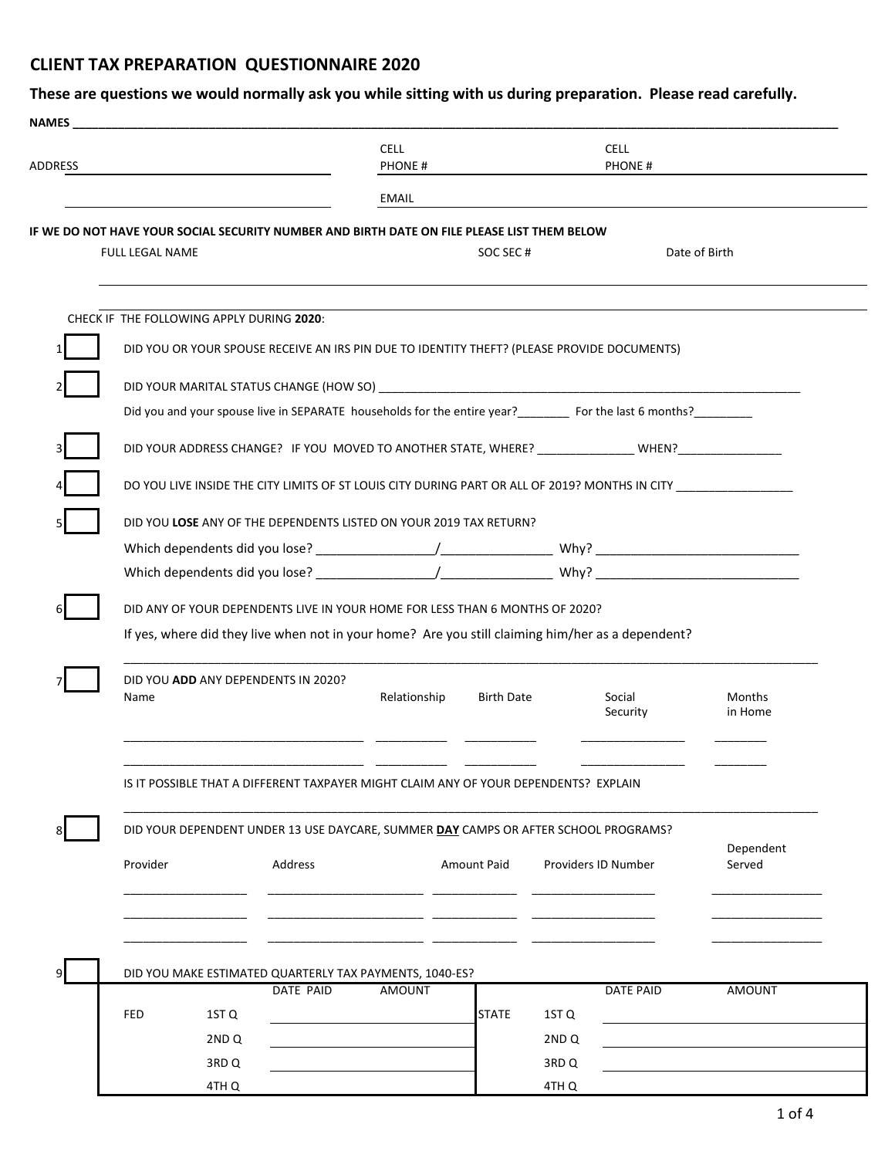## **CLIENT TAX PREPARATION QUESTIONNAIRE 2020**

| IF WE DO NOT HAVE YOUR SOCIAL SECURITY NUMBER AND BIRTH DATE ON FILE PLEASE LIST THEM BELOW<br><b>FULL LEGAL NAME</b><br>CHECK IF THE FOLLOWING APPLY DURING 2020:<br>DID YOU OR YOUR SPOUSE RECEIVE AN IRS PIN DUE TO IDENTITY THEFT? (PLEASE PROVIDE DOCUMENTS)<br>Did you and your spouse live in SEPARATE households for the entire year?<br>For the last 6 months? | <b>EMAIL</b>                                                                                        | SOC SEC#           |                                      | Date of Birth       |  |  |  |
|-------------------------------------------------------------------------------------------------------------------------------------------------------------------------------------------------------------------------------------------------------------------------------------------------------------------------------------------------------------------------|-----------------------------------------------------------------------------------------------------|--------------------|--------------------------------------|---------------------|--|--|--|
|                                                                                                                                                                                                                                                                                                                                                                         |                                                                                                     |                    |                                      |                     |  |  |  |
|                                                                                                                                                                                                                                                                                                                                                                         |                                                                                                     |                    |                                      |                     |  |  |  |
|                                                                                                                                                                                                                                                                                                                                                                         |                                                                                                     |                    |                                      |                     |  |  |  |
|                                                                                                                                                                                                                                                                                                                                                                         |                                                                                                     |                    |                                      |                     |  |  |  |
|                                                                                                                                                                                                                                                                                                                                                                         |                                                                                                     |                    |                                      |                     |  |  |  |
|                                                                                                                                                                                                                                                                                                                                                                         |                                                                                                     |                    |                                      |                     |  |  |  |
|                                                                                                                                                                                                                                                                                                                                                                         |                                                                                                     |                    |                                      |                     |  |  |  |
|                                                                                                                                                                                                                                                                                                                                                                         | DID YOUR ADDRESS CHANGE? IF YOU MOVED TO ANOTHER STATE, WHERE? ______________WHEN?_________________ |                    |                                      |                     |  |  |  |
|                                                                                                                                                                                                                                                                                                                                                                         | DO YOU LIVE INSIDE THE CITY LIMITS OF ST LOUIS CITY DURING PART OR ALL OF 2019? MONTHS IN CITY      |                    |                                      |                     |  |  |  |
| DID YOU LOSE ANY OF THE DEPENDENTS LISTED ON YOUR 2019 TAX RETURN?                                                                                                                                                                                                                                                                                                      |                                                                                                     |                    |                                      |                     |  |  |  |
|                                                                                                                                                                                                                                                                                                                                                                         |                                                                                                     |                    |                                      |                     |  |  |  |
|                                                                                                                                                                                                                                                                                                                                                                         |                                                                                                     |                    |                                      |                     |  |  |  |
| If yes, where did they live when not in your home? Are you still claiming him/her as a dependent?<br>DID YOU ADD ANY DEPENDENTS IN 2020?<br>Name                                                                                                                                                                                                                        | Relationship                                                                                        | <b>Birth Date</b>  | Social<br>Security                   | Months<br>in Home   |  |  |  |
| IS IT POSSIBLE THAT A DIFFERENT TAXPAYER MIGHT CLAIM ANY OF YOUR DEPENDENTS? EXPLAIN                                                                                                                                                                                                                                                                                    |                                                                                                     |                    |                                      |                     |  |  |  |
| DID YOUR DEPENDENT UNDER 13 USE DAYCARE, SUMMER DAY CAMPS OR AFTER SCHOOL PROGRAMS?                                                                                                                                                                                                                                                                                     |                                                                                                     |                    |                                      |                     |  |  |  |
| Provider<br>Address                                                                                                                                                                                                                                                                                                                                                     |                                                                                                     | <b>Amount Paid</b> | <b>Providers ID Number</b>           | Dependent<br>Served |  |  |  |
|                                                                                                                                                                                                                                                                                                                                                                         |                                                                                                     |                    |                                      |                     |  |  |  |
|                                                                                                                                                                                                                                                                                                                                                                         |                                                                                                     |                    |                                      |                     |  |  |  |
| DID YOU MAKE ESTIMATED QUARTERLY TAX PAYMENTS, 1040-ES?                                                                                                                                                                                                                                                                                                                 |                                                                                                     |                    |                                      |                     |  |  |  |
| DATE PAID                                                                                                                                                                                                                                                                                                                                                               | <b>AMOUNT</b>                                                                                       |                    | DATE PAID                            | <b>AMOUNT</b>       |  |  |  |
| <b>FED</b><br>1ST <sub>Q</sub>                                                                                                                                                                                                                                                                                                                                          |                                                                                                     | <b>STATE</b>       | 1ST Q                                |                     |  |  |  |
| 2ND <sub>Q</sub><br>3RD <sub>Q</sub>                                                                                                                                                                                                                                                                                                                                    |                                                                                                     |                    | 2ND <sub>Q</sub><br>3RD <sub>Q</sub> |                     |  |  |  |

4TH Q 4TH Q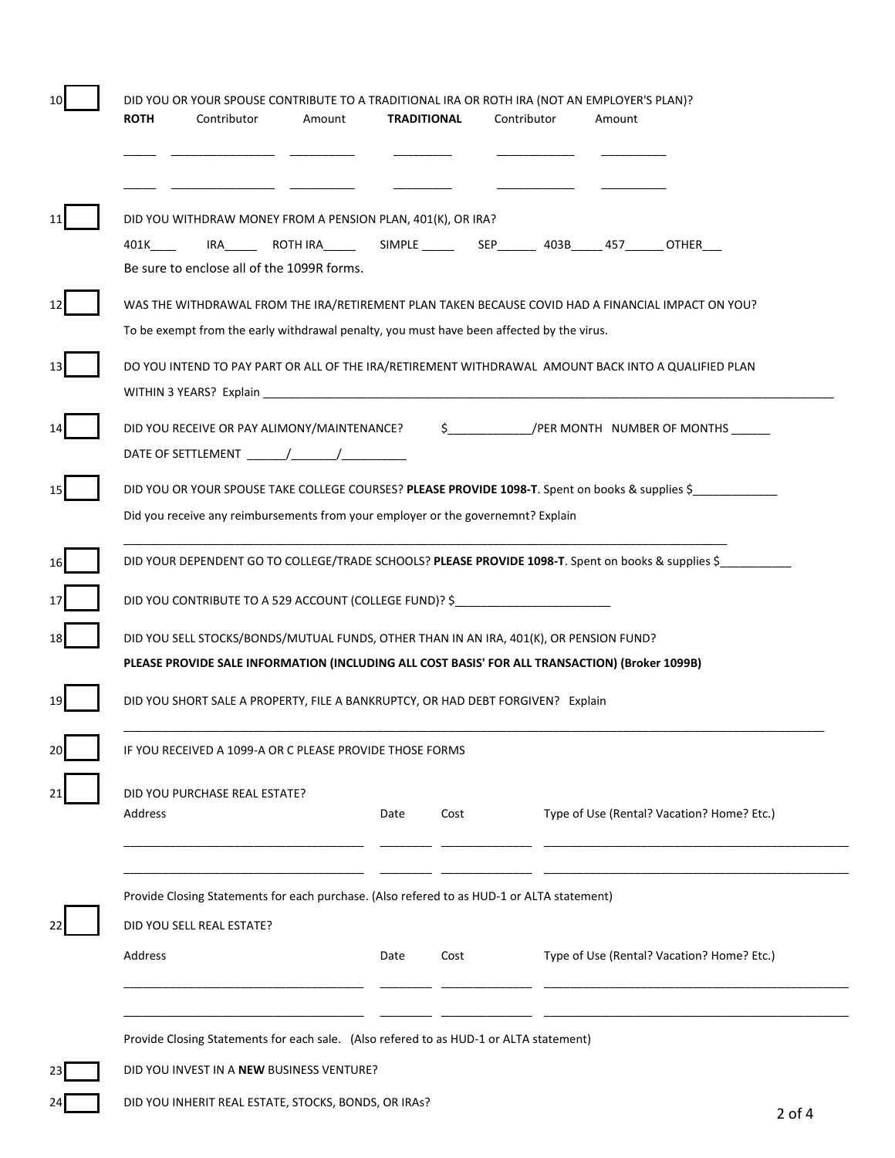| DID YOU WITHDRAW MONEY FROM A PENSION PLAN, 401(K), OR IRA?<br>IRA__________ROTH IRA_____________SIMPLE _____________SEP__________403B______457________OTHER____<br>401K and the set of the set of the set of the set of the set of the set of the set of the set of the set of th |      |      |  |                                            |
|------------------------------------------------------------------------------------------------------------------------------------------------------------------------------------------------------------------------------------------------------------------------------------|------|------|--|--------------------------------------------|
| Be sure to enclose all of the 1099R forms.                                                                                                                                                                                                                                         |      |      |  |                                            |
| WAS THE WITHDRAWAL FROM THE IRA/RETIREMENT PLAN TAKEN BECAUSE COVID HAD A FINANCIAL IMPACT ON YOU?<br>To be exempt from the early withdrawal penalty, you must have been affected by the virus.                                                                                    |      |      |  |                                            |
| DO YOU INTEND TO PAY PART OR ALL OF THE IRA/RETIREMENT WITHDRAWAL AMOUNT BACK INTO A QUALIFIED PLAN<br>WITHIN 3 YEARS? Explain                                                                                                                                                     |      |      |  |                                            |
| DID YOU RECEIVE OR PAY ALIMONY/MAINTENANCE? $\begin{array}{ccc} \xi & \mathcal{P} \end{array}$ /PER MONTH NUMBER OF MONTHS                                                                                                                                                         |      |      |  |                                            |
| DID YOU OR YOUR SPOUSE TAKE COLLEGE COURSES? PLEASE PROVIDE 1098-T. Spent on books & supplies \$<br>Did you receive any reimbursements from your employer or the governemnt? Explain                                                                                               |      |      |  |                                            |
| DID YOUR DEPENDENT GO TO COLLEGE/TRADE SCHOOLS? PLEASE PROVIDE 1098-T. Spent on books & supplies \$                                                                                                                                                                                |      |      |  |                                            |
| DID YOU CONTRIBUTE TO A 529 ACCOUNT (COLLEGE FUND)? \$                                                                                                                                                                                                                             |      |      |  |                                            |
| DID YOU SELL STOCKS/BONDS/MUTUAL FUNDS, OTHER THAN IN AN IRA, 401(K), OR PENSION FUND?                                                                                                                                                                                             |      |      |  |                                            |
| PLEASE PROVIDE SALE INFORMATION (INCLUDING ALL COST BASIS' FOR ALL TRANSACTION) (Broker 1099B)                                                                                                                                                                                     |      |      |  |                                            |
| DID YOU SHORT SALE A PROPERTY, FILE A BANKRUPTCY, OR HAD DEBT FORGIVEN? Explain                                                                                                                                                                                                    |      |      |  |                                            |
| IF YOU RECEIVED A 1099-A OR C PLEASE PROVIDE THOSE FORMS                                                                                                                                                                                                                           |      |      |  |                                            |
|                                                                                                                                                                                                                                                                                    |      |      |  |                                            |
| DID YOU PURCHASE REAL ESTATE?<br>Address                                                                                                                                                                                                                                           | Date | Cost |  | Type of Use (Rental? Vacation? Home? Etc.) |
| Provide Closing Statements for each purchase. (Also refered to as HUD-1 or ALTA statement)                                                                                                                                                                                         |      |      |  |                                            |
| DID YOU SELL REAL ESTATE?                                                                                                                                                                                                                                                          |      |      |  |                                            |
| Address                                                                                                                                                                                                                                                                            | Date | Cost |  | Type of Use (Rental? Vacation? Home? Etc.) |
| Provide Closing Statements for each sale. (Also refered to as HUD-1 or ALTA statement)                                                                                                                                                                                             |      |      |  |                                            |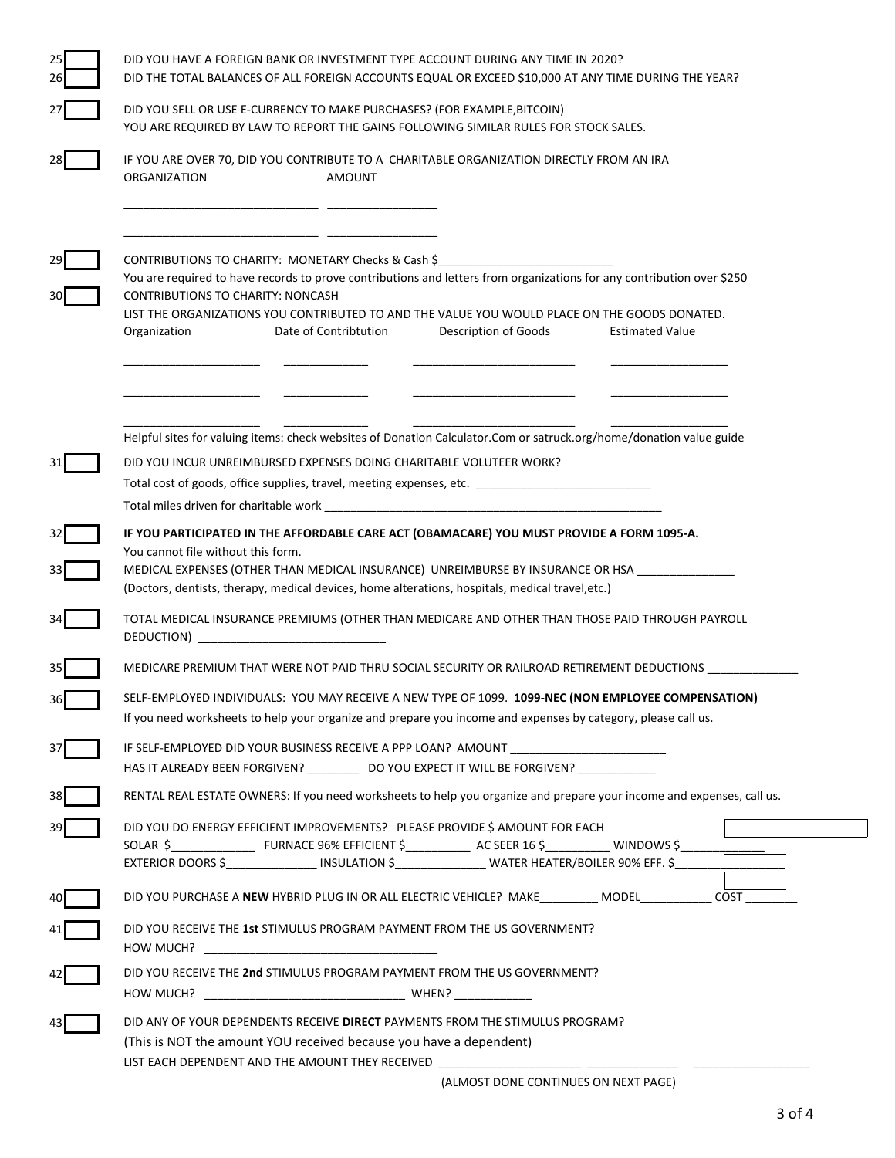| DID YOU HAVE A FOREIGN BANK OR INVESTMENT TYPE ACCOUNT DURING ANY TIME IN 2020?<br>DID THE TOTAL BALANCES OF ALL FOREIGN ACCOUNTS EQUAL OR EXCEED \$10,000 AT ANY TIME DURING THE YEAR?                                                                                                                                                                                                                               |  |  |  |  |
|-----------------------------------------------------------------------------------------------------------------------------------------------------------------------------------------------------------------------------------------------------------------------------------------------------------------------------------------------------------------------------------------------------------------------|--|--|--|--|
| DID YOU SELL OR USE E-CURRENCY TO MAKE PURCHASES? (FOR EXAMPLE, BITCOIN)<br>YOU ARE REQUIRED BY LAW TO REPORT THE GAINS FOLLOWING SIMILAR RULES FOR STOCK SALES.                                                                                                                                                                                                                                                      |  |  |  |  |
| IF YOU ARE OVER 70, DID YOU CONTRIBUTE TO A CHARITABLE ORGANIZATION DIRECTLY FROM AN IRA<br>ORGANIZATION<br><b>AMOUNT</b>                                                                                                                                                                                                                                                                                             |  |  |  |  |
| CONTRIBUTIONS TO CHARITY: MONETARY Checks & Cash \$<br>You are required to have records to prove contributions and letters from organizations for any contribution over \$250<br><b>CONTRIBUTIONS TO CHARITY: NONCASH</b><br>LIST THE ORGANIZATIONS YOU CONTRIBUTED TO AND THE VALUE YOU WOULD PLACE ON THE GOODS DONATED.<br>Date of Contribtution<br>Description of Goods<br><b>Estimated Value</b><br>Organization |  |  |  |  |
| Helpful sites for valuing items: check websites of Donation Calculator.Com or satruck.org/home/donation value guide<br>DID YOU INCUR UNREIMBURSED EXPENSES DOING CHARITABLE VOLUTEER WORK?<br>Total cost of goods, office supplies, travel, meeting expenses, etc. ______________________________                                                                                                                     |  |  |  |  |
| IF YOU PARTICIPATED IN THE AFFORDABLE CARE ACT (OBAMACARE) YOU MUST PROVIDE A FORM 1095-A.<br>You cannot file without this form.<br>MEDICAL EXPENSES (OTHER THAN MEDICAL INSURANCE) UNREIMBURSE BY INSURANCE OR HSA ______________<br>(Doctors, dentists, therapy, medical devices, home alterations, hospitals, medical travel,etc.)                                                                                 |  |  |  |  |
| TOTAL MEDICAL INSURANCE PREMIUMS (OTHER THAN MEDICARE AND OTHER THAN THOSE PAID THROUGH PAYROLL<br>DEDUCTION) DERIVATION                                                                                                                                                                                                                                                                                              |  |  |  |  |
| MEDICARE PREMIUM THAT WERE NOT PAID THRU SOCIAL SECURITY OR RAILROAD RETIREMENT DEDUCTIONS                                                                                                                                                                                                                                                                                                                            |  |  |  |  |
| SELF-EMPLOYED INDIVIDUALS: YOU MAY RECEIVE A NEW TYPE OF 1099. 1099-NEC (NON EMPLOYEE COMPENSATION)<br>If you need worksheets to help your organize and prepare you income and expenses by category, please call us.                                                                                                                                                                                                  |  |  |  |  |
| IF SELF-EMPLOYED DID YOUR BUSINESS RECEIVE A PPP LOAN? AMOUNT ___________________<br>HAS IT ALREADY BEEN FORGIVEN? ______________ DO YOU EXPECT IT WILL BE FORGIVEN? ___________________                                                                                                                                                                                                                              |  |  |  |  |
| RENTAL REAL ESTATE OWNERS: If you need worksheets to help you organize and prepare your income and expenses, call us.                                                                                                                                                                                                                                                                                                 |  |  |  |  |
| DID YOU DO ENERGY EFFICIENT IMPROVEMENTS? PLEASE PROVIDE \$ AMOUNT FOR EACH<br>EXTERIOR DOORS \$_________________ INSULATION \$__________________ WATER HEATER/BOILER 90% EFF. \$____________________                                                                                                                                                                                                                 |  |  |  |  |
| DID YOU PURCHASE A NEW HYBRID PLUG IN OR ALL ELECTRIC VEHICLE? MAKE_________ MODEL__________ COST _______                                                                                                                                                                                                                                                                                                             |  |  |  |  |
| DID YOU RECEIVE THE 1st STIMULUS PROGRAM PAYMENT FROM THE US GOVERNMENT?                                                                                                                                                                                                                                                                                                                                              |  |  |  |  |
| DID YOU RECEIVE THE 2nd STIMULUS PROGRAM PAYMENT FROM THE US GOVERNMENT?                                                                                                                                                                                                                                                                                                                                              |  |  |  |  |
| DID ANY OF YOUR DEPENDENTS RECEIVE DIRECT PAYMENTS FROM THE STIMULUS PROGRAM?<br>(This is NOT the amount YOU received because you have a dependent)<br>LIST EACH DEPENDENT AND THE AMOUNT THEY RECEIVED<br>(ALMOST DONE CONTINUES ON NEXT PAGE)                                                                                                                                                                       |  |  |  |  |